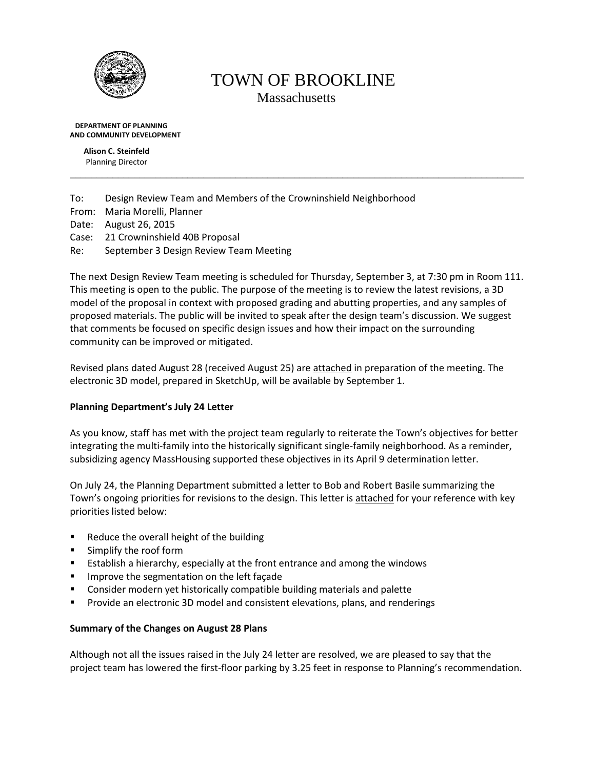

# TOWN OF BROOKLINE Massachusetts

\_\_\_\_\_\_\_\_\_\_\_\_\_\_\_\_\_\_\_\_\_\_\_\_\_\_\_\_\_\_\_\_\_\_\_\_\_\_\_\_\_\_\_\_\_\_\_\_\_\_\_\_\_\_\_\_\_\_\_\_\_\_\_\_\_\_\_\_\_\_\_\_\_\_\_\_\_\_\_\_\_\_\_\_\_

 **DEPARTMENT OF PLANNING AND COMMUNITY DEVELOPMENT**

> **Alison C. Steinfeld** Planning Director

To: Design Review Team and Members of the Crowninshield Neighborhood From: Maria Morelli, Planner Date: August 26, 2015 Case: 21 Crowninshield 40B Proposal Re: September 3 Design Review Team Meeting

The next Design Review Team meeting is scheduled for Thursday, September 3, at 7:30 pm in Room 111. This meeting is open to the public. The purpose of the meeting is to review the latest revisions, a 3D model of the proposal in context with proposed grading and abutting properties, and any samples of proposed materials. The public will be invited to speak after the design team's discussion. We suggest that comments be focused on specific design issues and how their impact on the surrounding community can be improved or mitigated.

Revised plans dated August 28 (received August 25) are attached in preparation of the meeting. The electronic 3D model, prepared in SketchUp, will be available by September 1.

# **Planning Department's July 24 Letter**

As you know, staff has met with the project team regularly to reiterate the Town's objectives for better integrating the multi-family into the historically significant single-family neighborhood. As a reminder, subsidizing agency MassHousing supported these objectives in its April 9 determination letter.

On July 24, the Planning Department submitted a letter to Bob and Robert Basile summarizing the Town's ongoing priorities for revisions to the design. This letter is attached for your reference with key priorities listed below:

- Reduce the overall height of the building
- **Simplify the roof form**
- **Establish a hierarchy, especially at the front entrance and among the windows**
- **IMPROVE the segmentation on the left façade**
- Consider modern yet historically compatible building materials and palette
- **Provide an electronic 3D model and consistent elevations, plans, and renderings**

## **Summary of the Changes on August 28 Plans**

Although not all the issues raised in the July 24 letter are resolved, we are pleased to say that the project team has lowered the first-floor parking by 3.25 feet in response to Planning's recommendation.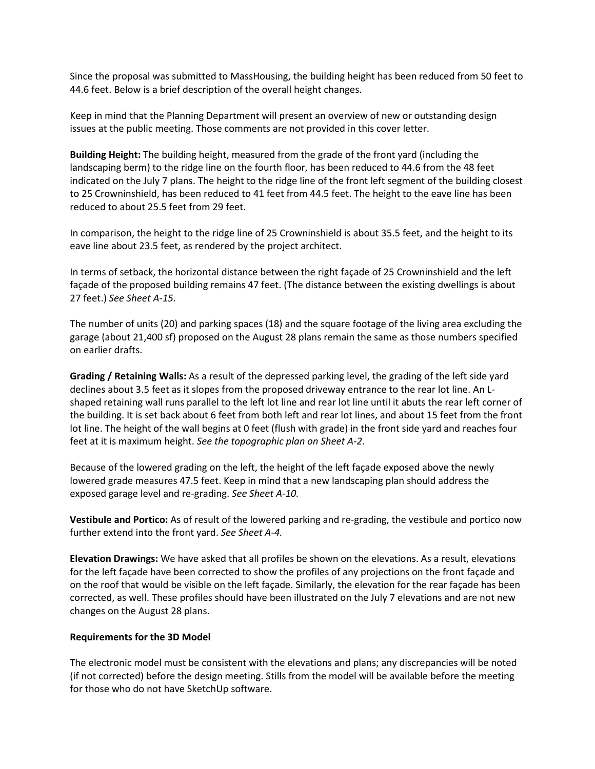Since the proposal was submitted to MassHousing, the building height has been reduced from 50 feet to 44.6 feet. Below is a brief description of the overall height changes.

Keep in mind that the Planning Department will present an overview of new or outstanding design issues at the public meeting. Those comments are not provided in this cover letter.

**Building Height:** The building height, measured from the grade of the front yard (including the landscaping berm) to the ridge line on the fourth floor, has been reduced to 44.6 from the 48 feet indicated on the July 7 plans. The height to the ridge line of the front left segment of the building closest to 25 Crowninshield, has been reduced to 41 feet from 44.5 feet. The height to the eave line has been reduced to about 25.5 feet from 29 feet.

In comparison, the height to the ridge line of 25 Crowninshield is about 35.5 feet, and the height to its eave line about 23.5 feet, as rendered by the project architect.

In terms of setback, the horizontal distance between the right façade of 25 Crowninshield and the left façade of the proposed building remains 47 feet. (The distance between the existing dwellings is about 27 feet.) *See Sheet A-15.*

The number of units (20) and parking spaces (18) and the square footage of the living area excluding the garage (about 21,400 sf) proposed on the August 28 plans remain the same as those numbers specified on earlier drafts.

**Grading / Retaining Walls:** As a result of the depressed parking level, the grading of the left side yard declines about 3.5 feet as it slopes from the proposed driveway entrance to the rear lot line. An Lshaped retaining wall runs parallel to the left lot line and rear lot line until it abuts the rear left corner of the building. It is set back about 6 feet from both left and rear lot lines, and about 15 feet from the front lot line. The height of the wall begins at 0 feet (flush with grade) in the front side yard and reaches four feet at it is maximum height. *See the topographic plan on Sheet A-2.*

Because of the lowered grading on the left, the height of the left façade exposed above the newly lowered grade measures 47.5 feet. Keep in mind that a new landscaping plan should address the exposed garage level and re-grading. *See Sheet A-10.*

**Vestibule and Portico:** As of result of the lowered parking and re-grading, the vestibule and portico now further extend into the front yard. *See Sheet A-4.*

**Elevation Drawings:** We have asked that all profiles be shown on the elevations. As a result, elevations for the left façade have been corrected to show the profiles of any projections on the front façade and on the roof that would be visible on the left façade. Similarly, the elevation for the rear façade has been corrected, as well. These profiles should have been illustrated on the July 7 elevations and are not new changes on the August 28 plans.

#### **Requirements for the 3D Model**

The electronic model must be consistent with the elevations and plans; any discrepancies will be noted (if not corrected) before the design meeting. Stills from the model will be available before the meeting for those who do not have SketchUp software.